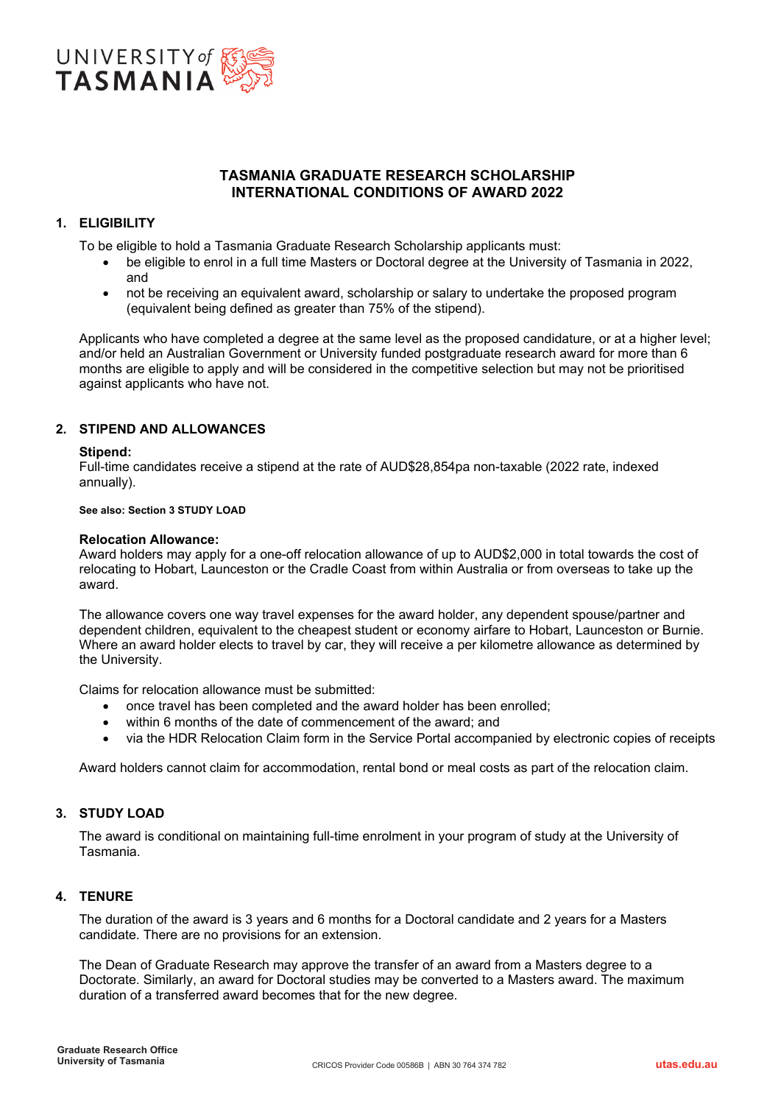

# **TASMANIA GRADUATE RESEARCH SCHOLARSHIP INTERNATIONAL CONDITIONS OF AWARD 2022**

# **1. ELIGIBILITY**

To be eligible to hold a Tasmania Graduate Research Scholarship applicants must:

- be eligible to enrol in a full time Masters or Doctoral degree at the University of Tasmania in 2022, and
- not be receiving an equivalent award, scholarship or salary to undertake the proposed program (equivalent being defined as greater than 75% of the stipend).

Applicants who have completed a degree at the same level as the proposed candidature, or at a higher level; and/or held an Australian Government or University funded postgraduate research award for more than 6 months are eligible to apply and will be considered in the competitive selection but may not be prioritised against applicants who have not.

# **2. STIPEND AND ALLOWANCES**

## **Stipend:**

Full-time candidates receive a stipend at the rate of AUD\$28,854pa non-taxable (2022 rate, indexed annually).

### **See also: Section 3 STUDY LOAD**

## **Relocation Allowance:**

Award holders may apply for a one-off relocation allowance of up to AUD\$2,000 in total towards the cost of relocating to Hobart, Launceston or the Cradle Coast from within Australia or from overseas to take up the award.

The allowance covers one way travel expenses for the award holder, any dependent spouse/partner and dependent children, equivalent to the cheapest student or economy airfare to Hobart, Launceston or Burnie. Where an award holder elects to travel by car, they will receive a per kilometre allowance as determined by the University.

Claims for relocation allowance must be submitted:

- once travel has been completed and the award holder has been enrolled;
- within 6 months of the date of commencement of the award; and
- via the HDR Relocation Claim form in the Service Portal accompanied by electronic copies of receipts

Award holders cannot claim for accommodation, rental bond or meal costs as part of the relocation claim.

# **3. STUDY LOAD**

The award is conditional on maintaining full-time enrolment in your program of study at the University of Tasmania.

# **4. TENURE**

The duration of the award is 3 years and 6 months for a Doctoral candidate and 2 years for a Masters candidate. There are no provisions for an extension.

The Dean of Graduate Research may approve the transfer of an award from a Masters degree to a Doctorate. Similarly, an award for Doctoral studies may be converted to a Masters award. The maximum duration of a transferred award becomes that for the new degree.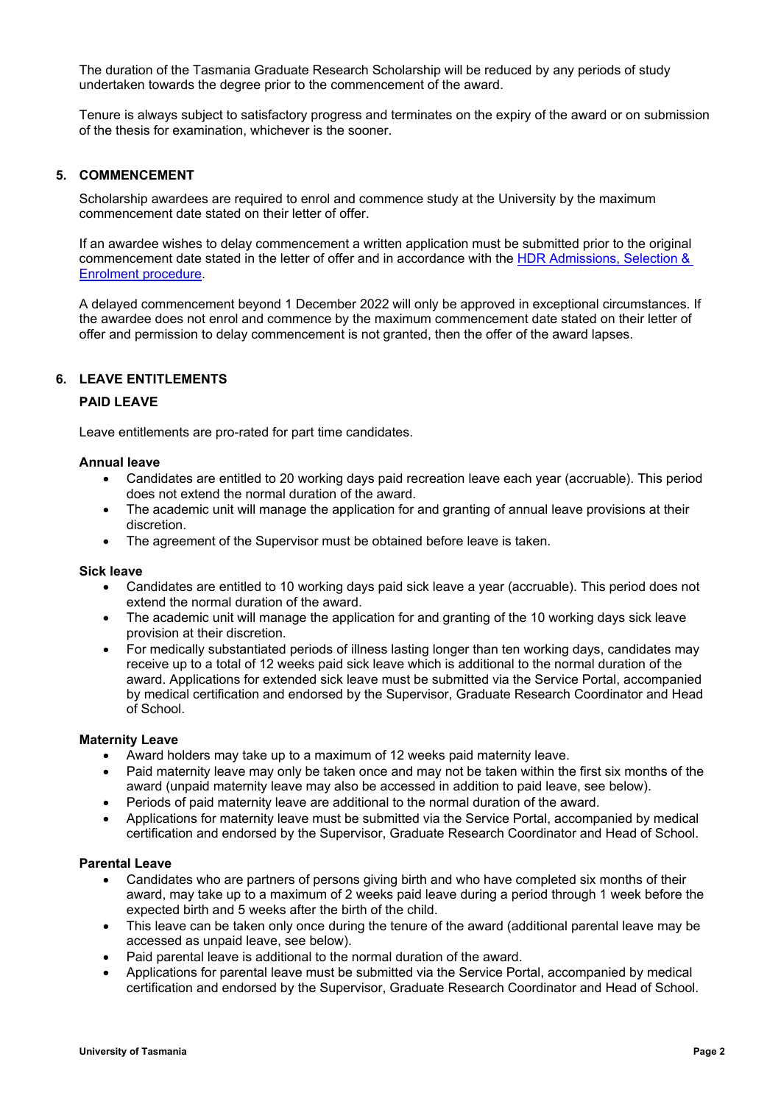The duration of the Tasmania Graduate Research Scholarship will be reduced by any periods of study undertaken towards the degree prior to the commencement of the award.

Tenure is always subject to satisfactory progress and terminates on the expiry of the award or on submission of the thesis for examination, whichever is the sooner.

### **5. COMMENCEMENT**

Scholarship awardees are required to enrol and commence study at the University by the maximum commencement date stated on their letter of offer.

If an awardee wishes to delay commencement a written application must be submitted prior to the original commencement date stated in the letter of offer and in accordance with the [HDR Admissions, Selection &](https://www.utas.edu.au/research-admin/graduate-research/policies-and-forms/hdr-policies)  [Enrolment procedure.](https://www.utas.edu.au/research-admin/graduate-research/policies-and-forms/hdr-policies)

A delayed commencement beyond 1 December 2022 will only be approved in exceptional circumstances. If the awardee does not enrol and commence by the maximum commencement date stated on their letter of offer and permission to delay commencement is not granted, then the offer of the award lapses.

# **6. LEAVE ENTITLEMENTS**

### **PAID LEAVE**

Leave entitlements are pro-rated for part time candidates.

#### **Annual leave**

- Candidates are entitled to 20 working days paid recreation leave each year (accruable). This period does not extend the normal duration of the award.
- The academic unit will manage the application for and granting of annual leave provisions at their discretion.
- The agreement of the Supervisor must be obtained before leave is taken.

#### **Sick leave**

- Candidates are entitled to 10 working days paid sick leave a year (accruable). This period does not extend the normal duration of the award.
- The academic unit will manage the application for and granting of the 10 working days sick leave provision at their discretion.
- For medically substantiated periods of illness lasting longer than ten working days, candidates may receive up to a total of 12 weeks paid sick leave which is additional to the normal duration of the award. Applications for extended sick leave must be submitted via the Service Portal, accompanied by medical certification and endorsed by the Supervisor, Graduate Research Coordinator and Head of School.

### **Maternity Leave**

- Award holders may take up to a maximum of 12 weeks paid maternity leave.
- Paid maternity leave may only be taken once and may not be taken within the first six months of the award (unpaid maternity leave may also be accessed in addition to paid leave, see below).
- Periods of paid maternity leave are additional to the normal duration of the award.
- Applications for maternity leave must be submitted via the Service Portal, accompanied by medical certification and endorsed by the Supervisor, Graduate Research Coordinator and Head of School.

#### **Parental Leave**

- Candidates who are partners of persons giving birth and who have completed six months of their award, may take up to a maximum of 2 weeks paid leave during a period through 1 week before the expected birth and 5 weeks after the birth of the child.
- This leave can be taken only once during the tenure of the award (additional parental leave may be accessed as unpaid leave, see below).
- Paid parental leave is additional to the normal duration of the award.
- Applications for parental leave must be submitted via the Service Portal, accompanied by medical certification and endorsed by the Supervisor, Graduate Research Coordinator and Head of School.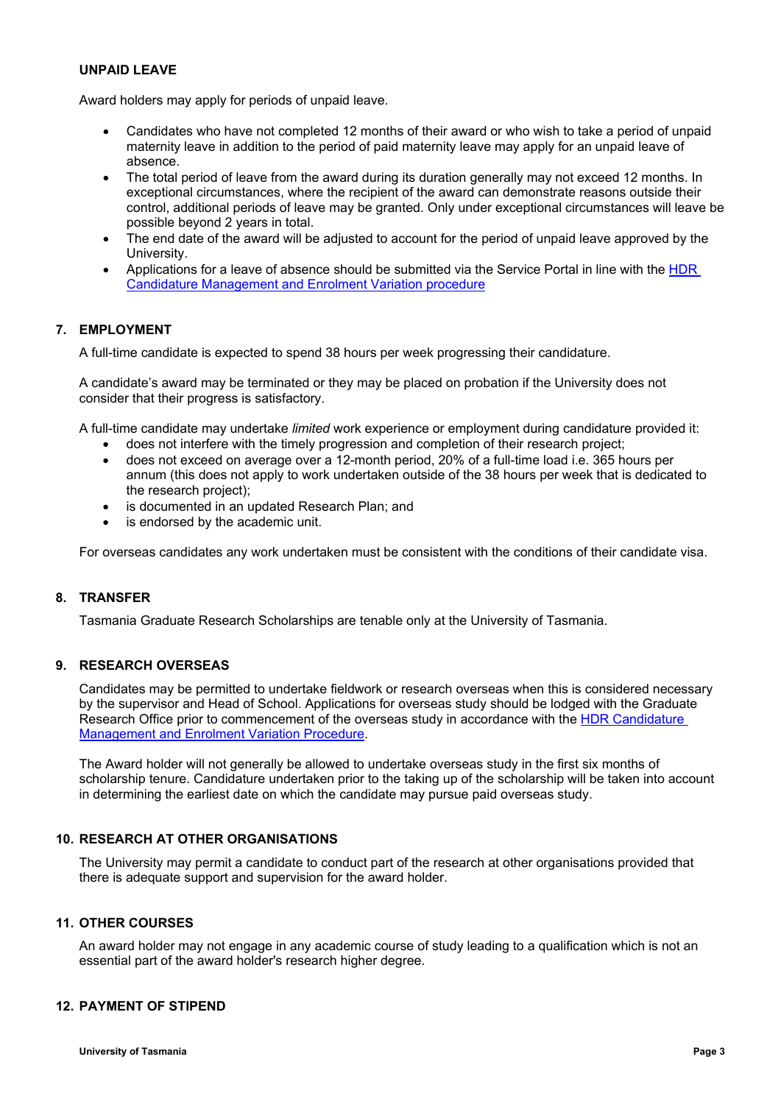## **UNPAID LEAVE**

Award holders may apply for periods of unpaid leave.

- Candidates who have not completed 12 months of their award or who wish to take a period of unpaid maternity leave in addition to the period of paid maternity leave may apply for an unpaid leave of absence.
- The total period of leave from the award during its duration generally may not exceed 12 months. In exceptional circumstances, where the recipient of the award can demonstrate reasons outside their control, additional periods of leave may be granted. Only under exceptional circumstances will leave be possible beyond 2 years in total.
- The end date of the award will be adjusted to account for the period of unpaid leave approved by the University.
- Applications for a leave of absence should be submitted via the Service Portal in line with the [HDR](https://www.utas.edu.au/research-admin/graduate-research/policies-and-forms/hdr-policies)  [Candidature Management and Enrolment Variation procedure](https://www.utas.edu.au/research-admin/graduate-research/policies-and-forms/hdr-policies)

# **7. EMPLOYMENT**

A full-time candidate is expected to spend 38 hours per week progressing their candidature.

A candidate's award may be terminated or they may be placed on probation if the University does not consider that their progress is satisfactory.

A full-time candidate may undertake *limited* work experience or employment during candidature provided it:

- does not interfere with the timely progression and completion of their research project;
- does not exceed on average over a 12-month period, 20% of a full-time load i.e. 365 hours per annum (this does not apply to work undertaken outside of the 38 hours per week that is dedicated to the research project);
- is documented in an updated Research Plan; and
- is endorsed by the academic unit.

For overseas candidates any work undertaken must be consistent with the conditions of their candidate visa.

## **8. TRANSFER**

Tasmania Graduate Research Scholarships are tenable only at the University of Tasmania.

## **9. RESEARCH OVERSEAS**

Candidates may be permitted to undertake fieldwork or research overseas when this is considered necessary by the supervisor and Head of School. Applications for overseas study should be lodged with the Graduate Research Office prior to commencement of the overseas study in accordance with the HDR Candidature [Management and Enrolment Variation Procedure.](https://www.utas.edu.au/research-admin/graduate-research/policies-and-forms/hdr-policies)

The Award holder will not generally be allowed to undertake overseas study in the first six months of scholarship tenure. Candidature undertaken prior to the taking up of the scholarship will be taken into account in determining the earliest date on which the candidate may pursue paid overseas study.

## **10. RESEARCH AT OTHER ORGANISATIONS**

The University may permit a candidate to conduct part of the research at other organisations provided that there is adequate support and supervision for the award holder.

## **11. OTHER COURSES**

An award holder may not engage in any academic course of study leading to a qualification which is not an essential part of the award holder's research higher degree.

## **12. PAYMENT OF STIPEND**